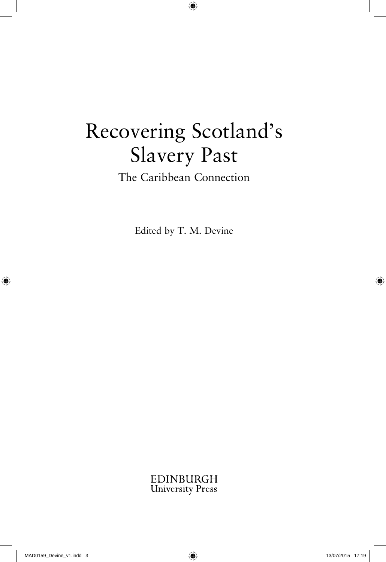# Recovering Scotland's Slavery Past

The Caribbean Connection

Edited by T. M. Devine

**EDINBURGH** University Press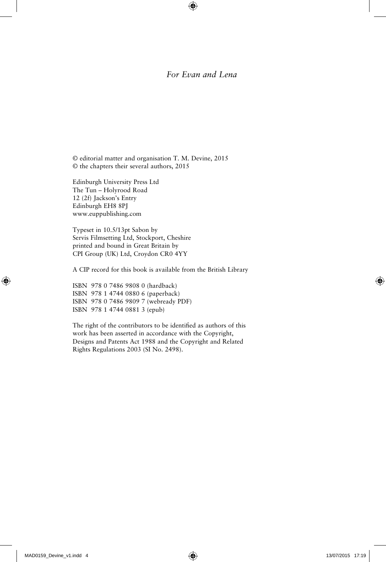## *For Evan and Lena*

© editorial matter and organisation T. M. Devine, 2015 © the chapters their several authors, 2015

Edinburgh University Press Ltd The Tun – Holyrood Road 12 (2f) Jackson's Entry Edinburgh EH8 8PJ www.euppublishing.com

Typeset in 10.5/13pt Sabon by Servis Filmsetting Ltd, Stockport, Cheshire printed and bound in Great Britain by CPI Group (UK) Ltd, Croydon CR0 4YY

A CIP record for this book is available from the British Library

ISBN 978 0 7486 9808 0 (hardback) ISBN 978 1 4744 0880 6 (paperback) ISBN 978 0 7486 9809 7 (webready PDF) ISBN 978 1 4744 0881 3 (epub)

The right of the contributors to be identified as authors of this work has been asserted in accordance with the Copyright, Designs and Patents Act 1988 and the Copyright and Related Rights Regulations 2003 (SI No. 2498).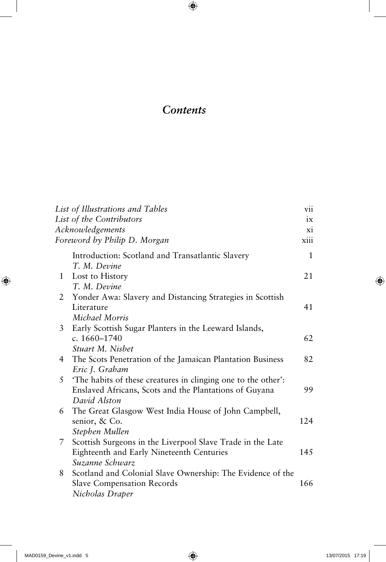## *Contents*

|   | List of Illustrations and Tables                             | vii          |
|---|--------------------------------------------------------------|--------------|
|   | List of the Contributors                                     | ix           |
|   | Acknowledgements                                             | xi           |
|   | Foreword by Philip D. Morgan                                 | xiii         |
|   | Introduction: Scotland and Transatlantic Slavery             | $\mathbf{1}$ |
|   | T. M. Devine                                                 |              |
| 1 | Lost to History                                              | 21           |
|   | T. M. Devine                                                 |              |
| 2 | Yonder Awa: Slavery and Distancing Strategies in Scottish    |              |
|   | Literature                                                   | 41           |
|   | Michael Morris                                               |              |
| 3 | Early Scottish Sugar Planters in the Leeward Islands,        |              |
|   | c. $1660 - 1740$                                             | 62           |
|   | Stuart M. Nisbet                                             |              |
| 4 | The Scots Penetration of the Jamaican Plantation Business    | 82           |
|   | Eric J. Graham                                               |              |
| 5 | The habits of these creatures in clinging one to the other': |              |
|   | Enslaved Africans, Scots and the Plantations of Guyana       | 99           |
|   | David Alston                                                 |              |
| 6 | The Great Glasgow West India House of John Campbell,         |              |
|   | senior, & Co.                                                | 124          |
|   | Stephen Mullen                                               |              |
| 7 | Scottish Surgeons in the Liverpool Slave Trade in the Late   |              |
|   | Eighteenth and Early Nineteenth Centuries                    | 145          |
|   | Suzanne Schwarz                                              |              |
| 8 | Scotland and Colonial Slave Ownership: The Evidence of the   |              |
|   | <b>Slave Compensation Records</b>                            | 166          |
|   | Nicholas Draper                                              |              |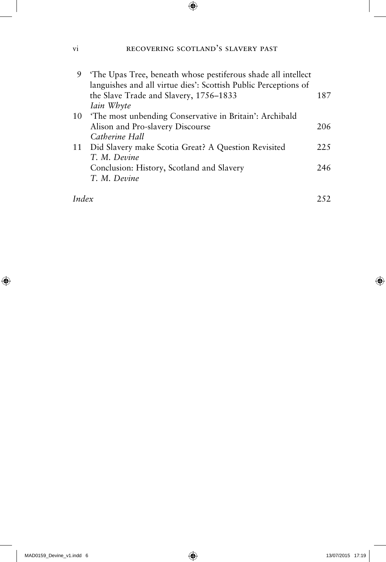|       | 9 The Upas Tree, beneath whose pestiferous shade all intellect<br>languishes and all virtue dies': Scottish Public Perceptions of |     |
|-------|-----------------------------------------------------------------------------------------------------------------------------------|-----|
|       | the Slave Trade and Slavery, 1756-1833                                                                                            | 187 |
|       | <i>Lain</i> Whyte                                                                                                                 |     |
|       | 10 'The most unbending Conservative in Britain': Archibald                                                                        |     |
|       | Alison and Pro-slavery Discourse                                                                                                  | 206 |
|       | Catherine Hall                                                                                                                    |     |
| 11    | Did Slavery make Scotia Great? A Question Revisited                                                                               | 225 |
|       | T. M. Devine                                                                                                                      |     |
|       | Conclusion: History, Scotland and Slavery                                                                                         | 246 |
|       | T. M. Devine                                                                                                                      |     |
| Index |                                                                                                                                   | 252 |
|       |                                                                                                                                   |     |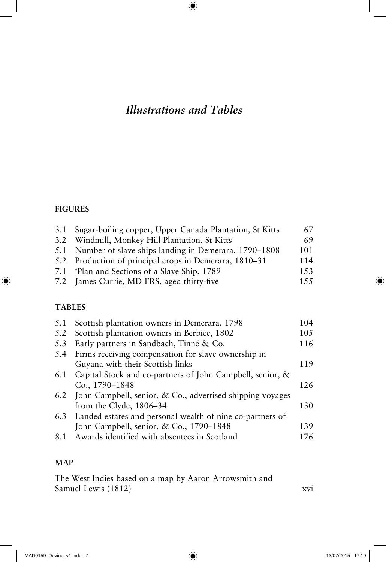# *Illustrations and Tables*

## **FIGURES**

| 3.1 Sugar-boiling copper, Upper Canada Plantation, St Kitts | 67  |
|-------------------------------------------------------------|-----|
| 3.2 Windmill, Monkey Hill Plantation, St Kitts              | 69  |
| 5.1 Number of slave ships landing in Demerara, 1790–1808    | 101 |
| 5.2 Production of principal crops in Demerara, 1810–31      | 114 |
| 7.1 Plan and Sections of a Slave Ship, 1789                 | 153 |
| 7.2 James Currie, MD FRS, aged thirty-five                  | 155 |

## **TABLES**

|     | 5.1 Scottish plantation owners in Demerara, 1798              | 104 |
|-----|---------------------------------------------------------------|-----|
|     | 5.2 Scottish plantation owners in Berbice, 1802               | 105 |
| 5.3 | Early partners in Sandbach, Tinné & Co.                       | 116 |
|     | 5.4 Firms receiving compensation for slave ownership in       |     |
|     | Guyana with their Scottish links                              | 119 |
|     | 6.1 Capital Stock and co-partners of John Campbell, senior, & |     |
|     | Co., 1790-1848                                                | 126 |
|     | 6.2 John Campbell, senior, & Co., advertised shipping voyages |     |
|     | from the Clyde, 1806-34                                       | 130 |
|     | 6.3 Landed estates and personal wealth of nine co-partners of |     |
|     | John Campbell, senior, & Co., 1790-1848                       | 139 |
| 8.1 | Awards identified with absentees in Scotland                  | 176 |

## **MAP**

The West Indies based on a map by Aaron Arrowsmith and Samuel Lewis (1812) xvi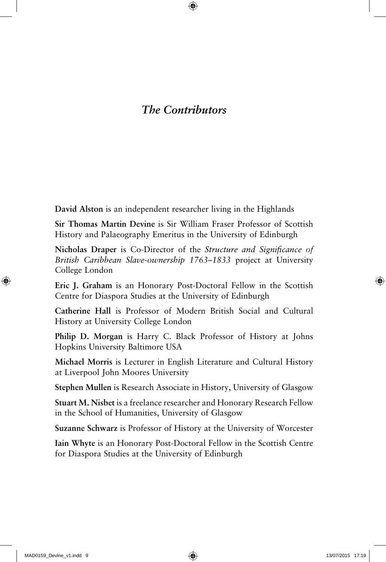# *The Contributors*

**David Alston** is an independent researcher living in the Highlands

**Sir Thomas Martin Devine** is Sir William Fraser Professor of Scottish History and Palaeography Emeritus in the University of Edinburgh

**Nicholas Draper** is Co-Director of the *Structure and Significance of British Caribbean Slave-ownership 1763–1833* project at University College London

**Eric J. Graham** is an Honorary Post-Doctoral Fellow in the Scottish Centre for Diaspora Studies at the University of Edinburgh

**Catherine Hall** is Professor of Modern British Social and Cultural History at University College London

**Philip D. Morgan** is Harry C. Black Professor of History at Johns Hopkins University Baltimore USA

**Michael Morris** is Lecturer in English Literature and Cultural History at Liverpool John Moores University

**Stephen Mullen** is Research Associate in History, University of Glasgow

**Stuart M. Nisbet** is a freelance researcher and Honorary Research Fellow in the School of Humanities, University of Glasgow

**Suzanne Schwarz** is Professor of History at the University of Worcester

**Iain Whyte** is an Honorary Post-Doctoral Fellow in the Scottish Centre for Diaspora Studies at the University of Edinburgh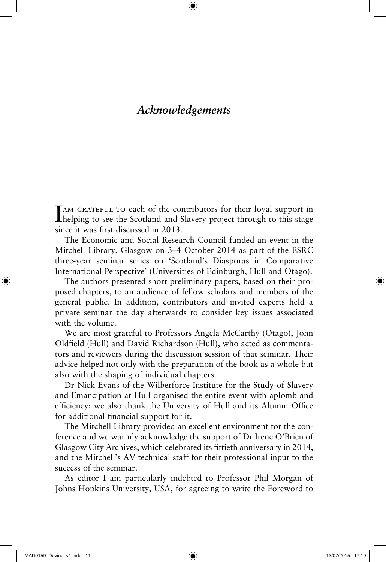## *Acknowledgements*

IAM GRATEFUL TO each of the contributors for their loyal support in helping to see the Scotland and Slavery project through to this stage since it was first discussed in 2013.

The Economic and Social Research Council funded an event in the Mitchell Library, Glasgow on 3–4 October 2014 as part of the ESRC three-year seminar series on 'Scotland's Diasporas in Comparative International Perspective' (Universities of Edinburgh, Hull and Otago).

The authors presented short preliminary papers, based on their proposed chapters, to an audience of fellow scholars and members of the general public. In addition, contributors and invited experts held a private seminar the day afterwards to consider key issues associated with the volume.

We are most grateful to Professors Angela McCarthy (Otago), John Oldfield (Hull) and David Richardson (Hull), who acted as commentators and reviewers during the discussion session of that seminar. Their advice helped not only with the preparation of the book as a whole but also with the shaping of individual chapters.

Dr Nick Evans of the Wilberforce Institute for the Study of Slavery and Emancipation at Hull organised the entire event with aplomb and efficiency; we also thank the University of Hull and its Alumni Office for additional financial support for it.

The Mitchell Library provided an excellent environment for the conference and we warmly acknowledge the support of Dr Irene O'Brien of Glasgow City Archives, which celebrated its fiftieth anniversary in 2014, and the Mitchell's AV technical staff for their professional input to the success of the seminar.

As editor I am particularly indebted to Professor Phil Morgan of Johns Hopkins University, USA, for agreeing to write the Foreword to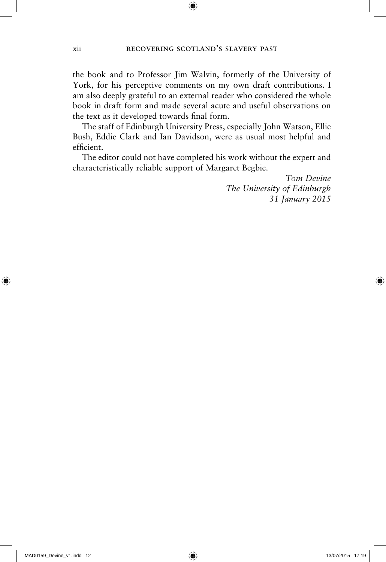the book and to Professor Jim Walvin, formerly of the University of York, for his perceptive comments on my own draft contributions. I am also deeply grateful to an external reader who considered the whole book in draft form and made several acute and useful observations on the text as it developed towards final form.

The staff of Edinburgh University Press, especially John Watson, Ellie Bush, Eddie Clark and Ian Davidson, were as usual most helpful and efficient.

The editor could not have completed his work without the expert and characteristically reliable support of Margaret Begbie.

> *Tom Devine The University of Edinburgh 31 January 2015*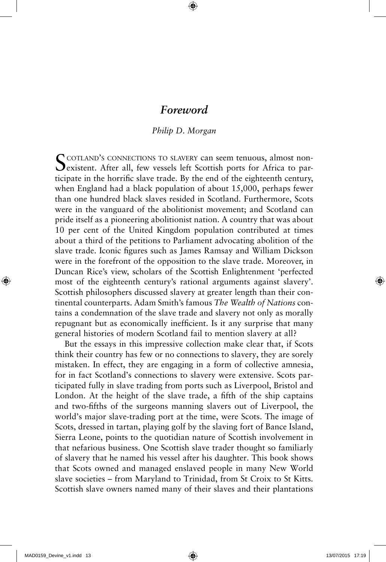## *Foreword*

### *Philip D. Morgan*

C COTLAND'S CONNECTIONS TO SLAVERY can seem tenuous, almost non-**O** existent. After all, few vessels left Scottish ports for Africa to participate in the horrific slave trade. By the end of the eighteenth century, when England had a black population of about 15,000, perhaps fewer than one hundred black slaves resided in Scotland. Furthermore, Scots were in the vanguard of the abolitionist movement; and Scotland can pride itself as a pioneering abolitionist nation. A country that was about 10 per cent of the United Kingdom population contributed at times about a third of the petitions to Parliament advocating abolition of the slave trade. Iconic figures such as James Ramsay and William Dickson were in the forefront of the opposition to the slave trade. Moreover, in Duncan Rice's view, scholars of the Scottish Enlightenment 'perfected most of the eighteenth century's rational arguments against slavery'. Scottish philosophers discussed slavery at greater length than their continental counterparts. Adam Smith's famous *The Wealth of Nations* contains a condemnation of the slave trade and slavery not only as morally repugnant but as economically inefficient. Is it any surprise that many general histories of modern Scotland fail to mention slavery at all?

But the essays in this impressive collection make clear that, if Scots think their country has few or no connections to slavery, they are sorely mistaken. In effect, they are engaging in a form of collective amnesia, for in fact Scotland's connections to slavery were extensive. Scots participated fully in slave trading from ports such as Liverpool, Bristol and London. At the height of the slave trade, a fifth of the ship captains and two-fifths of the surgeons manning slavers out of Liverpool, the world's major slave-trading port at the time, were Scots. The image of Scots, dressed in tartan, playing golf by the slaving fort of Bance Island, Sierra Leone, points to the quotidian nature of Scottish involvement in that nefarious business. One Scottish slave trader thought so familiarly of slavery that he named his vessel after his daughter. This book shows that Scots owned and managed enslaved people in many New World slave societies – from Maryland to Trinidad, from St Croix to St Kitts. Scottish slave owners named many of their slaves and their plantations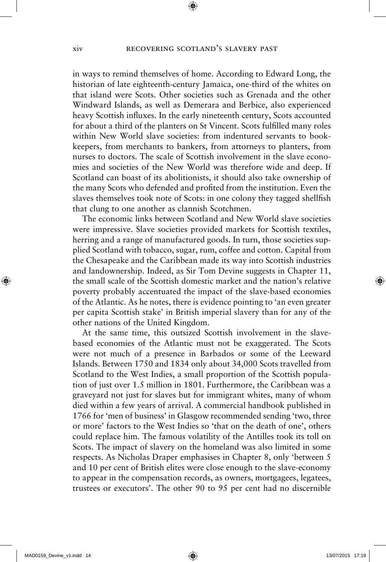in ways to remind themselves of home. According to Edward Long, the historian of late eighteenth-century Jamaica, one-third of the whites on that island were Scots. Other societies such as Grenada and the other Windward Islands, as well as Demerara and Berbice, also experienced heavy Scottish influxes. In the early nineteenth century, Scots accounted for about a third of the planters on St Vincent. Scots fulfilled many roles within New World slave societies: from indentured servants to bookkeepers, from merchants to bankers, from attorneys to planters, from nurses to doctors. The scale of Scottish involvement in the slave economies and societies of the New World was therefore wide and deep. If Scotland can boast of its abolitionists, it should also take ownership of the many Scots who defended and profited from the institution. Even the slaves themselves took note of Scots: in one colony they tagged shellfish that clung to one another as clannish Scotchmen.

The economic links between Scotland and New World slave societies were impressive. Slave societies provided markets for Scottish textiles, herring and a range of manufactured goods. In turn, those societies supplied Scotland with tobacco, sugar, rum, coffee and cotton. Capital from the Chesapeake and the Caribbean made its way into Scottish industries and landownership. Indeed, as Sir Tom Devine suggests in Chapter 11, the small scale of the Scottish domestic market and the nation's relative poverty probably accentuated the impact of the slave-based economies of the Atlantic. As he notes, there is evidence pointing to 'an even greater per capita Scottish stake' in British imperial slavery than for any of the other nations of the United Kingdom.

At the same time, this outsized Scottish involvement in the slavebased economies of the Atlantic must not be exaggerated. The Scots were not much of a presence in Barbados or some of the Leeward Islands. Between 1750 and 1834 only about 34,000 Scots travelled from Scotland to the West Indies, a small proportion of the Scottish population of just over 1.5 million in 1801. Furthermore, the Caribbean was a graveyard not just for slaves but for immigrant whites, many of whom died within a few years of arrival. A commercial handbook published in 1766 for 'men of business' in Glasgow recommended sending 'two, three or more' factors to the West Indies so 'that on the death of one', others could replace him. The famous volatility of the Antilles took its toll on Scots. The impact of slavery on the homeland was also limited in some respects. As Nicholas Draper emphasises in Chapter 8, only 'between 5 and 10 per cent of British elites were close enough to the slave-economy to appear in the compensation records, as owners, mortgagees, legatees, trustees or executors'. The other 90 to 95 per cent had no discernible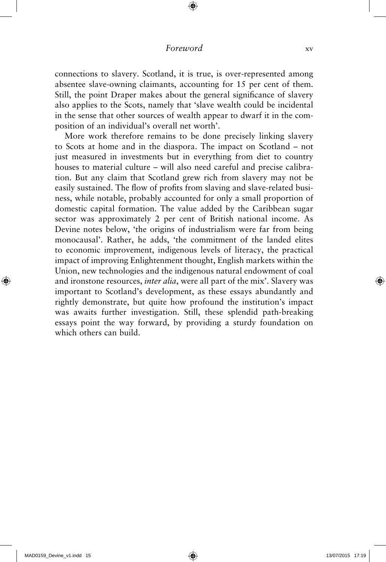#### *Foreword* xv

connections to slavery. Scotland, it is true, is over-represented among absentee slave-owning claimants, accounting for 15 per cent of them. Still, the point Draper makes about the general significance of slavery also applies to the Scots, namely that 'slave wealth could be incidental in the sense that other sources of wealth appear to dwarf it in the composition of an individual's overall net worth'.

More work therefore remains to be done precisely linking slavery to Scots at home and in the diaspora. The impact on Scotland – not just measured in investments but in everything from diet to country houses to material culture – will also need careful and precise calibration. But any claim that Scotland grew rich from slavery may not be easily sustained. The flow of profits from slaving and slave-related business, while notable, probably accounted for only a small proportion of domestic capital formation. The value added by the Caribbean sugar sector was approximately 2 per cent of British national income. As Devine notes below, 'the origins of industrialism were far from being monocausal'. Rather, he adds, 'the commitment of the landed elites to economic improvement, indigenous levels of literacy, the practical impact of improving Enlightenment thought, English markets within the Union, new technologies and the indigenous natural endowment of coal and ironstone resources, *inter alia*, were all part of the mix'. Slavery was important to Scotland's development, as these essays abundantly and rightly demonstrate, but quite how profound the institution's impact was awaits further investigation. Still, these splendid path-breaking essays point the way forward, by providing a sturdy foundation on which others can build.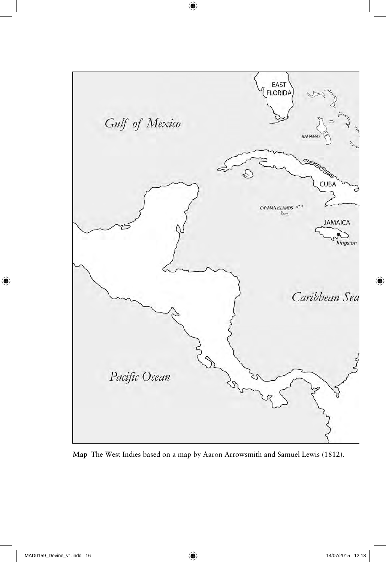

**Map** The West Indies based on a map by Aaron Arrowsmith and Samuel Lewis (1812).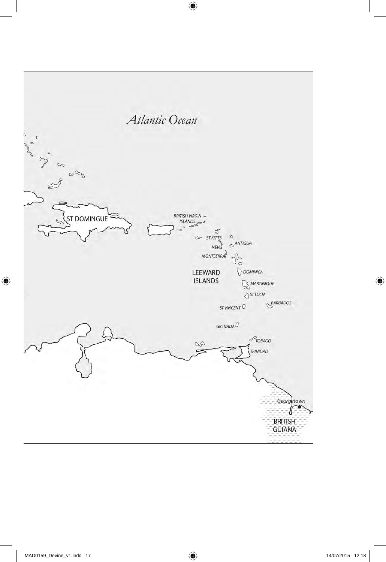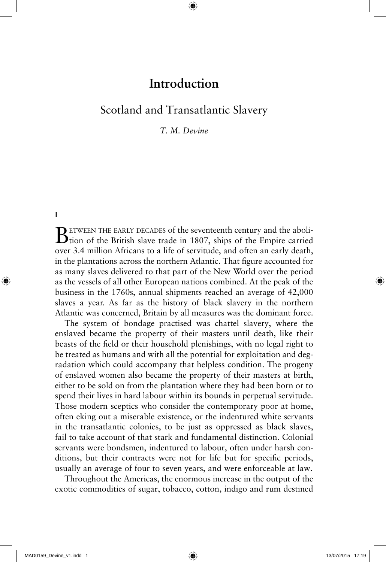# **Introduction**

## Scotland and Transatlantic Slavery

*T. M. Devine*

**I**

BETWEEN THE EARLY DECADES of the seventeenth century and the aboli-<br>tion of the British slave trade in 1807, ships of the Empire carried over 3.4 million Africans to a life of servitude, and often an early death, in the plantations across the northern Atlantic. That figure accounted for as many slaves delivered to that part of the New World over the period as the vessels of all other European nations combined. At the peak of the business in the 1760s, annual shipments reached an average of 42,000 slaves a year. As far as the history of black slavery in the northern Atlantic was concerned, Britain by all measures was the dominant force.

The system of bondage practised was chattel slavery, where the enslaved became the property of their masters until death, like their beasts of the field or their household plenishings, with no legal right to be treated as humans and with all the potential for exploitation and degradation which could accompany that helpless condition. The progeny of enslaved women also became the property of their masters at birth, either to be sold on from the plantation where they had been born or to spend their lives in hard labour within its bounds in perpetual servitude. Those modern sceptics who consider the contemporary poor at home, often eking out a miserable existence, or the indentured white servants in the transatlantic colonies, to be just as oppressed as black slaves, fail to take account of that stark and fundamental distinction. Colonial servants were bondsmen, indentured to labour, often under harsh conditions, but their contracts were not for life but for specific periods, usually an average of four to seven years, and were enforceable at law.

Throughout the Americas, the enormous increase in the output of the exotic commodities of sugar, tobacco, cotton, indigo and rum destined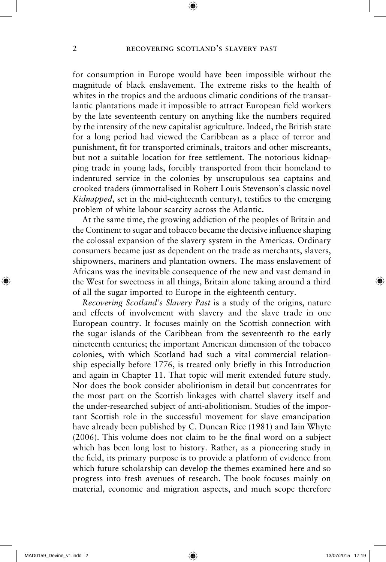for consumption in Europe would have been impossible without the magnitude of black enslavement. The extreme risks to the health of whites in the tropics and the arduous climatic conditions of the transatlantic plantations made it impossible to attract European field workers by the late seventeenth century on anything like the numbers required by the intensity of the new capitalist agriculture. Indeed, the British state for a long period had viewed the Caribbean as a place of terror and punishment, fit for transported criminals, traitors and other miscreants, but not a suitable location for free settlement. The notorious kidnapping trade in young lads, forcibly transported from their homeland to indentured service in the colonies by unscrupulous sea captains and crooked traders (immortalised in Robert Louis Stevenson's classic novel *Kidnapped*, set in the mid-eighteenth century), testifies to the emerging problem of white labour scarcity across the Atlantic.

At the same time, the growing addiction of the peoples of Britain and the Continent to sugar and tobacco became the decisive influence shaping the colossal expansion of the slavery system in the Americas. Ordinary consumers became just as dependent on the trade as merchants, slavers, shipowners, mariners and plantation owners. The mass enslavement of Africans was the inevitable consequence of the new and vast demand in the West for sweetness in all things, Britain alone taking around a third of all the sugar imported to Europe in the eighteenth century.

*Recovering Scotland's Slavery Past* is a study of the origins, nature and effects of involvement with slavery and the slave trade in one European country. It focuses mainly on the Scottish connection with the sugar islands of the Caribbean from the seventeenth to the early nineteenth centuries; the important American dimension of the tobacco colonies, with which Scotland had such a vital commercial relationship especially before 1776, is treated only briefly in this Introduction and again in Chapter 11. That topic will merit extended future study. Nor does the book consider abolitionism in detail but concentrates for the most part on the Scottish linkages with chattel slavery itself and the under-researched subject of anti-abolitionism. Studies of the important Scottish role in the successful movement for slave emancipation have already been published by C. Duncan Rice (1981) and Iain Whyte (2006). This volume does not claim to be the final word on a subject which has been long lost to history. Rather, as a pioneering study in the field, its primary purpose is to provide a platform of evidence from which future scholarship can develop the themes examined here and so progress into fresh avenues of research. The book focuses mainly on material, economic and migration aspects, and much scope therefore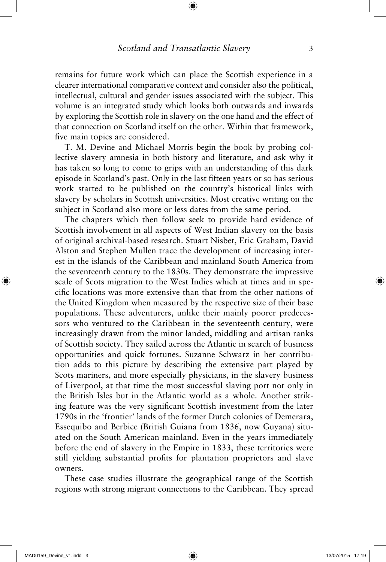remains for future work which can place the Scottish experience in a clearer international comparative context and consider also the political, intellectual, cultural and gender issues associated with the subject. This volume is an integrated study which looks both outwards and inwards by exploring the Scottish role in slavery on the one hand and the effect of that connection on Scotland itself on the other. Within that framework, five main topics are considered.

T. M. Devine and Michael Morris begin the book by probing collective slavery amnesia in both history and literature, and ask why it has taken so long to come to grips with an understanding of this dark episode in Scotland's past. Only in the last fifteen years or so has serious work started to be published on the country's historical links with slavery by scholars in Scottish universities. Most creative writing on the subject in Scotland also more or less dates from the same period.

The chapters which then follow seek to provide hard evidence of Scottish involvement in all aspects of West Indian slavery on the basis of original archival-based research. Stuart Nisbet, Eric Graham, David Alston and Stephen Mullen trace the development of increasing interest in the islands of the Caribbean and mainland South America from the seventeenth century to the 1830s. They demonstrate the impressive scale of Scots migration to the West Indies which at times and in specific locations was more extensive than that from the other nations of the United Kingdom when measured by the respective size of their base populations. These adventurers, unlike their mainly poorer predecessors who ventured to the Caribbean in the seventeenth century, were increasingly drawn from the minor landed, middling and artisan ranks of Scottish society. They sailed across the Atlantic in search of business opportunities and quick fortunes. Suzanne Schwarz in her contribution adds to this picture by describing the extensive part played by Scots mariners, and more especially physicians, in the slavery business of Liverpool, at that time the most successful slaving port not only in the British Isles but in the Atlantic world as a whole. Another striking feature was the very significant Scottish investment from the later 1790s in the 'frontier' lands of the former Dutch colonies of Demerara, Essequibo and Berbice (British Guiana from 1836, now Guyana) situated on the South American mainland. Even in the years immediately before the end of slavery in the Empire in 1833, these territories were still yielding substantial profits for plantation proprietors and slave owners.

These case studies illustrate the geographical range of the Scottish regions with strong migrant connections to the Caribbean. They spread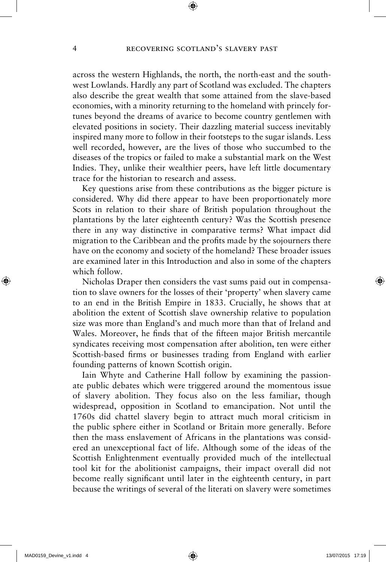across the western Highlands, the north, the north-east and the southwest Lowlands. Hardly any part of Scotland was excluded. The chapters also describe the great wealth that some attained from the slave-based economies, with a minority returning to the homeland with princely fortunes beyond the dreams of avarice to become country gentlemen with elevated positions in society. Their dazzling material success inevitably inspired many more to follow in their footsteps to the sugar islands. Less well recorded, however, are the lives of those who succumbed to the diseases of the tropics or failed to make a substantial mark on the West Indies. They, unlike their wealthier peers, have left little documentary trace for the historian to research and assess.

Key questions arise from these contributions as the bigger picture is considered. Why did there appear to have been proportionately more Scots in relation to their share of British population throughout the plantations by the later eighteenth century? Was the Scottish presence there in any way distinctive in comparative terms? What impact did migration to the Caribbean and the profits made by the sojourners there have on the economy and society of the homeland? These broader issues are examined later in this Introduction and also in some of the chapters which follow.

Nicholas Draper then considers the vast sums paid out in compensation to slave owners for the losses of their 'property' when slavery came to an end in the British Empire in 1833. Crucially, he shows that at abolition the extent of Scottish slave ownership relative to population size was more than England's and much more than that of Ireland and Wales. Moreover, he finds that of the fifteen major British mercantile syndicates receiving most compensation after abolition, ten were either Scottish-based firms or businesses trading from England with earlier founding patterns of known Scottish origin.

Iain Whyte and Catherine Hall follow by examining the passionate public debates which were triggered around the momentous issue of slavery abolition. They focus also on the less familiar, though widespread, opposition in Scotland to emancipation. Not until the 1760s did chattel slavery begin to attract much moral criticism in the public sphere either in Scotland or Britain more generally. Before then the mass enslavement of Africans in the plantations was considered an unexceptional fact of life. Although some of the ideas of the Scottish Enlightenment eventually provided much of the intellectual tool kit for the abolitionist campaigns, their impact overall did not become really significant until later in the eighteenth century, in part because the writings of several of the literati on slavery were sometimes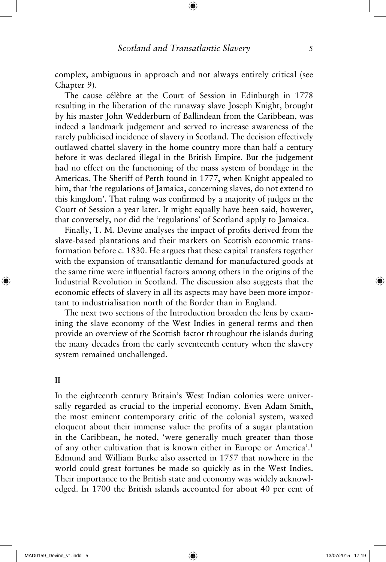complex, ambiguous in approach and not always entirely critical (see Chapter 9).

The cause célèbre at the Court of Session in Edinburgh in 1778 resulting in the liberation of the runaway slave Joseph Knight, brought by his master John Wedderburn of Ballindean from the Caribbean, was indeed a landmark judgement and served to increase awareness of the rarely publicised incidence of slavery in Scotland. The decision effectively outlawed chattel slavery in the home country more than half a century before it was declared illegal in the British Empire. But the judgement had no effect on the functioning of the mass system of bondage in the Americas. The Sheriff of Perth found in 1777, when Knight appealed to him, that 'the regulations of Jamaica, concerning slaves, do not extend to this kingdom'. That ruling was confirmed by a majority of judges in the Court of Session a year later. It might equally have been said, however, that conversely, nor did the 'regulations' of Scotland apply to Jamaica.

Finally, T. M. Devine analyses the impact of profits derived from the slave-based plantations and their markets on Scottish economic transformation before c. 1830. He argues that these capital transfers together with the expansion of transatlantic demand for manufactured goods at the same time were influential factors among others in the origins of the Industrial Revolution in Scotland. The discussion also suggests that the economic effects of slavery in all its aspects may have been more important to industrialisation north of the Border than in England.

The next two sections of the Introduction broaden the lens by examining the slave economy of the West Indies in general terms and then provide an overview of the Scottish factor throughout the islands during the many decades from the early seventeenth century when the slavery system remained unchallenged.

#### **II**

In the eighteenth century Britain's West Indian colonies were universally regarded as crucial to the imperial economy. Even Adam Smith, the most eminent contemporary critic of the colonial system, waxed eloquent about their immense value: the profits of a sugar plantation in the Caribbean, he noted, 'were generally much greater than those of any other cultivation that is known either in Europe or America'.1 Edmund and William Burke also asserted in 1757 that nowhere in the world could great fortunes be made so quickly as in the West Indies. Their importance to the British state and economy was widely acknowledged. In 1700 the British islands accounted for about 40 per cent of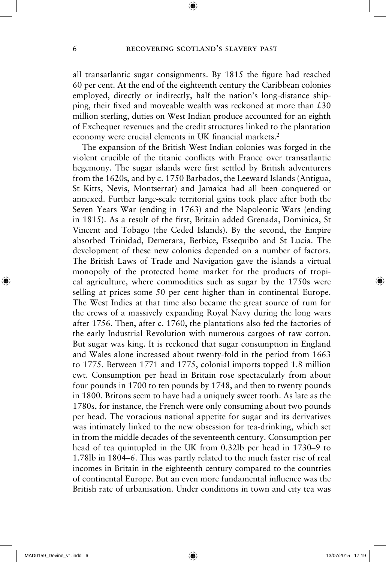all transatlantic sugar consignments. By 1815 the figure had reached 60 per cent. At the end of the eighteenth century the Caribbean colonies employed, directly or indirectly, half the nation's long-distance shipping, their fixed and moveable wealth was reckoned at more than £30 million sterling, duties on West Indian produce accounted for an eighth of Exchequer revenues and the credit structures linked to the plantation economy were crucial elements in UK financial markets.<sup>2</sup>

The expansion of the British West Indian colonies was forged in the violent crucible of the titanic conflicts with France over transatlantic hegemony. The sugar islands were first settled by British adventurers from the 1620s, and by c. 1750 Barbados, the Leeward Islands (Antigua, St Kitts, Nevis, Montserrat) and Jamaica had all been conquered or annexed. Further large-scale territorial gains took place after both the Seven Years War (ending in 1763) and the Napoleonic Wars (ending in 1815). As a result of the first, Britain added Grenada, Dominica, St Vincent and Tobago (the Ceded Islands). By the second, the Empire absorbed Trinidad, Demerara, Berbice, Essequibo and St Lucia. The development of these new colonies depended on a number of factors. The British Laws of Trade and Navigation gave the islands a virtual monopoly of the protected home market for the products of tropical agriculture, where commodities such as sugar by the 1750s were selling at prices some 50 per cent higher than in continental Europe. The West Indies at that time also became the great source of rum for the crews of a massively expanding Royal Navy during the long wars after 1756. Then, after c. 1760, the plantations also fed the factories of the early Industrial Revolution with numerous cargoes of raw cotton. But sugar was king. It is reckoned that sugar consumption in England and Wales alone increased about twenty-fold in the period from 1663 to 1775. Between 1771 and 1775, colonial imports topped 1.8 million cwt. Consumption per head in Britain rose spectacularly from about four pounds in 1700 to ten pounds by 1748, and then to twenty pounds in 1800. Britons seem to have had a uniquely sweet tooth. As late as the 1780s, for instance, the French were only consuming about two pounds per head. The voracious national appetite for sugar and its derivatives was intimately linked to the new obsession for tea-drinking, which set in from the middle decades of the seventeenth century. Consumption per head of tea quintupled in the UK from 0.32lb per head in 1730–9 to 1.78lb in 1804–6. This was partly related to the much faster rise of real incomes in Britain in the eighteenth century compared to the countries of continental Europe. But an even more fundamental influence was the British rate of urbanisation. Under conditions in town and city tea was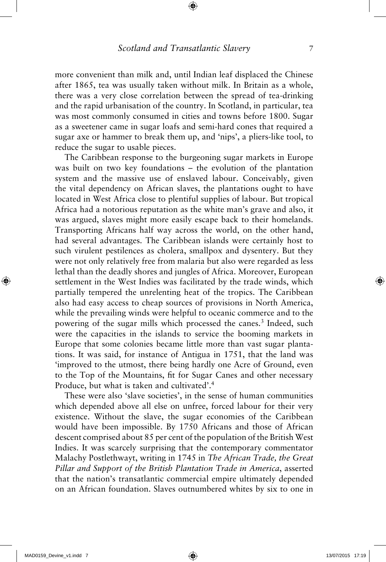more convenient than milk and, until Indian leaf displaced the Chinese after 1865, tea was usually taken without milk. In Britain as a whole, there was a very close correlation between the spread of tea-drinking and the rapid urbanisation of the country. In Scotland, in particular, tea was most commonly consumed in cities and towns before 1800. Sugar as a sweetener came in sugar loafs and semi-hard cones that required a sugar axe or hammer to break them up, and 'nips', a pliers-like tool, to reduce the sugar to usable pieces.

The Caribbean response to the burgeoning sugar markets in Europe was built on two key foundations – the evolution of the plantation system and the massive use of enslaved labour. Conceivably, given the vital dependency on African slaves, the plantations ought to have located in West Africa close to plentiful supplies of labour. But tropical Africa had a notorious reputation as the white man's grave and also, it was argued, slaves might more easily escape back to their homelands. Transporting Africans half way across the world, on the other hand, had several advantages. The Caribbean islands were certainly host to such virulent pestilences as cholera, smallpox and dysentery. But they were not only relatively free from malaria but also were regarded as less lethal than the deadly shores and jungles of Africa. Moreover, European settlement in the West Indies was facilitated by the trade winds, which partially tempered the unrelenting heat of the tropics. The Caribbean also had easy access to cheap sources of provisions in North America, while the prevailing winds were helpful to oceanic commerce and to the powering of the sugar mills which processed the canes.3 Indeed, such were the capacities in the islands to service the booming markets in Europe that some colonies became little more than vast sugar plantations. It was said, for instance of Antigua in 1751, that the land was 'improved to the utmost, there being hardly one Acre of Ground, even to the Top of the Mountains, fit for Sugar Canes and other necessary Produce, but what is taken and cultivated'.4

These were also 'slave societies', in the sense of human communities which depended above all else on unfree, forced labour for their very existence. Without the slave, the sugar economies of the Caribbean would have been impossible. By 1750 Africans and those of African descent comprised about 85 per cent of the population of the British West Indies. It was scarcely surprising that the contemporary commentator Malachy Postlethwayt, writing in 1745 in *The African Trade, the Great Pillar and Support of the British Plantation Trade in America*, asserted that the nation's transatlantic commercial empire ultimately depended on an African foundation. Slaves outnumbered whites by six to one in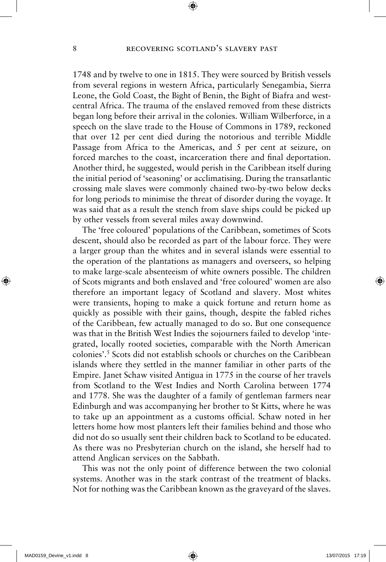1748 and by twelve to one in 1815. They were sourced by British vessels from several regions in western Africa, particularly Senegambia, Sierra Leone, the Gold Coast, the Bight of Benin, the Bight of Biafra and westcentral Africa. The trauma of the enslaved removed from these districts began long before their arrival in the colonies. William Wilberforce, in a speech on the slave trade to the House of Commons in 1789, reckoned that over 12 per cent died during the notorious and terrible Middle Passage from Africa to the Americas, and 5 per cent at seizure, on forced marches to the coast, incarceration there and final deportation. Another third, he suggested, would perish in the Caribbean itself during the initial period of 'seasoning' or acclimatising. During the transatlantic crossing male slaves were commonly chained two-by-two below decks for long periods to minimise the threat of disorder during the voyage. It was said that as a result the stench from slave ships could be picked up by other vessels from several miles away downwind.

The 'free coloured' populations of the Caribbean, sometimes of Scots descent, should also be recorded as part of the labour force. They were a larger group than the whites and in several islands were essential to the operation of the plantations as managers and overseers, so helping to make large-scale absenteeism of white owners possible. The children of Scots migrants and both enslaved and 'free coloured' women are also therefore an important legacy of Scotland and slavery. Most whites were transients, hoping to make a quick fortune and return home as quickly as possible with their gains, though, despite the fabled riches of the Caribbean, few actually managed to do so. But one consequence was that in the British West Indies the sojourners failed to develop 'integrated, locally rooted societies, comparable with the North American colonies'.<sup>5</sup> Scots did not establish schools or churches on the Caribbean islands where they settled in the manner familiar in other parts of the Empire. Janet Schaw visited Antigua in 1775 in the course of her travels from Scotland to the West Indies and North Carolina between 1774 and 1778. She was the daughter of a family of gentleman farmers near Edinburgh and was accompanying her brother to St Kitts, where he was to take up an appointment as a customs official. Schaw noted in her letters home how most planters left their families behind and those who did not do so usually sent their children back to Scotland to be educated. As there was no Presbyterian church on the island, she herself had to attend Anglican services on the Sabbath.

This was not the only point of difference between the two colonial systems. Another was in the stark contrast of the treatment of blacks. Not for nothing was the Caribbean known as the graveyard of the slaves.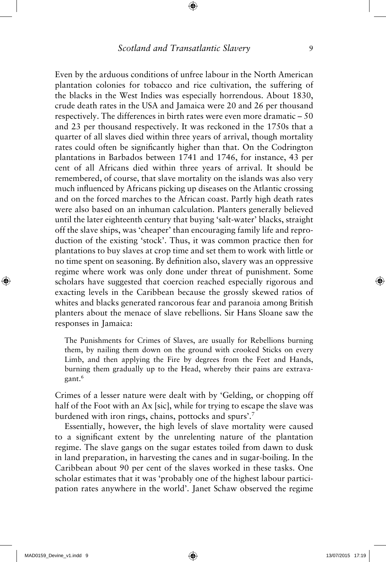Even by the arduous conditions of unfree labour in the North American plantation colonies for tobacco and rice cultivation, the suffering of the blacks in the West Indies was especially horrendous. About 1830, crude death rates in the USA and Jamaica were 20 and 26 per thousand respectively. The differences in birth rates were even more dramatic – 50 and 23 per thousand respectively. It was reckoned in the 1750s that a quarter of all slaves died within three years of arrival, though mortality rates could often be significantly higher than that. On the Codrington plantations in Barbados between 1741 and 1746, for instance, 43 per cent of all Africans died within three years of arrival. It should be remembered, of course, that slave mortality on the islands was also very much influenced by Africans picking up diseases on the Atlantic crossing and on the forced marches to the African coast. Partly high death rates were also based on an inhuman calculation. Planters generally believed until the later eighteenth century that buying 'salt-water' blacks, straight off the slave ships, was 'cheaper' than encouraging family life and reproduction of the existing 'stock'. Thus, it was common practice then for plantations to buy slaves at crop time and set them to work with little or no time spent on seasoning. By definition also, slavery was an oppressive regime where work was only done under threat of punishment. Some scholars have suggested that coercion reached especially rigorous and exacting levels in the Caribbean because the grossly skewed ratios of whites and blacks generated rancorous fear and paranoia among British planters about the menace of slave rebellions. Sir Hans Sloane saw the responses in Jamaica:

The Punishments for Crimes of Slaves, are usually for Rebellions burning them, by nailing them down on the ground with crooked Sticks on every Limb, and then applying the Fire by degrees from the Feet and Hands, burning them gradually up to the Head, whereby their pains are extravagant.6

Crimes of a lesser nature were dealt with by 'Gelding, or chopping off half of the Foot with an Ax [sic], while for trying to escape the slave was burdened with iron rings, chains, pottocks and spurs'.<sup>7</sup>

Essentially, however, the high levels of slave mortality were caused to a significant extent by the unrelenting nature of the plantation regime. The slave gangs on the sugar estates toiled from dawn to dusk in land preparation, in harvesting the canes and in sugar-boiling. In the Caribbean about 90 per cent of the slaves worked in these tasks. One scholar estimates that it was 'probably one of the highest labour participation rates anywhere in the world'. Janet Schaw observed the regime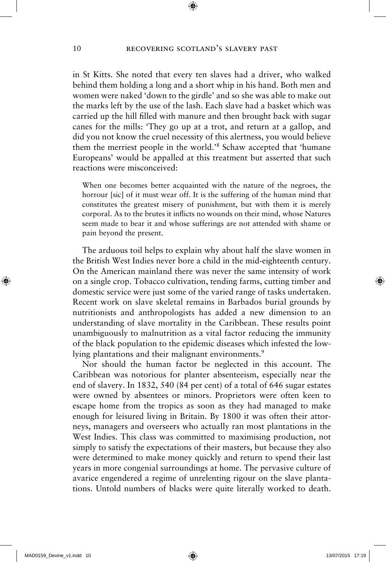in St Kitts. She noted that every ten slaves had a driver, who walked behind them holding a long and a short whip in his hand. Both men and women were naked 'down to the girdle' and so she was able to make out the marks left by the use of the lash. Each slave had a basket which was carried up the hill filled with manure and then brought back with sugar canes for the mills: 'They go up at a trot, and return at a gallop, and did you not know the cruel necessity of this alertness, you would believe them the merriest people in the world.'8 Schaw accepted that 'humane Europeans' would be appalled at this treatment but asserted that such reactions were misconceived:

When one becomes better acquainted with the nature of the negroes, the horrour [sic] of it must wear off. It is the suffering of the human mind that constitutes the greatest misery of punishment, but with them it is merely corporal. As to the brutes it inflicts no wounds on their mind, whose Natures seem made to bear it and whose sufferings are not attended with shame or pain beyond the present.

The arduous toil helps to explain why about half the slave women in the British West Indies never bore a child in the mid-eighteenth century. On the American mainland there was never the same intensity of work on a single crop. Tobacco cultivation, tending farms, cutting timber and domestic service were just some of the varied range of tasks undertaken. Recent work on slave skeletal remains in Barbados burial grounds by nutritionists and anthropologists has added a new dimension to an understanding of slave mortality in the Caribbean. These results point unambiguously to malnutrition as a vital factor reducing the immunity of the black population to the epidemic diseases which infested the lowlying plantations and their malignant environments.<sup>9</sup>

Nor should the human factor be neglected in this account. The Caribbean was notorious for planter absenteeism, especially near the end of slavery. In 1832, 540 (84 per cent) of a total of 646 sugar estates were owned by absentees or minors. Proprietors were often keen to escape home from the tropics as soon as they had managed to make enough for leisured living in Britain. By 1800 it was often their attorneys, managers and overseers who actually ran most plantations in the West Indies. This class was committed to maximising production, not simply to satisfy the expectations of their masters, but because they also were determined to make money quickly and return to spend their last years in more congenial surroundings at home. The pervasive culture of avarice engendered a regime of unrelenting rigour on the slave plantations. Untold numbers of blacks were quite literally worked to death.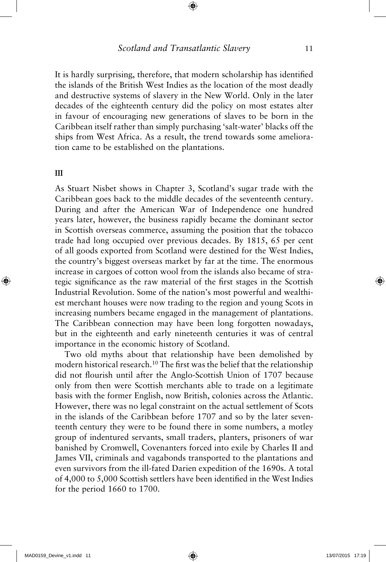It is hardly surprising, therefore, that modern scholarship has identified the islands of the British West Indies as the location of the most deadly and destructive systems of slavery in the New World. Only in the later decades of the eighteenth century did the policy on most estates alter in favour of encouraging new generations of slaves to be born in the Caribbean itself rather than simply purchasing 'salt-water' blacks off the ships from West Africa. As a result, the trend towards some amelioration came to be established on the plantations.

#### **III**

As Stuart Nisbet shows in Chapter 3, Scotland's sugar trade with the Caribbean goes back to the middle decades of the seventeenth century. During and after the American War of Independence one hundred years later, however, the business rapidly became the dominant sector in Scottish overseas commerce, assuming the position that the tobacco trade had long occupied over previous decades. By 1815, 65 per cent of all goods exported from Scotland were destined for the West Indies, the country's biggest overseas market by far at the time. The enormous increase in cargoes of cotton wool from the islands also became of strategic significance as the raw material of the first stages in the Scottish Industrial Revolution. Some of the nation's most powerful and wealthiest merchant houses were now trading to the region and young Scots in increasing numbers became engaged in the management of plantations. The Caribbean connection may have been long forgotten nowadays, but in the eighteenth and early nineteenth centuries it was of central importance in the economic history of Scotland.

Two old myths about that relationship have been demolished by modern historical research.<sup>10</sup> The first was the belief that the relationship did not flourish until after the Anglo-Scottish Union of 1707 because only from then were Scottish merchants able to trade on a legitimate basis with the former English, now British, colonies across the Atlantic. However, there was no legal constraint on the actual settlement of Scots in the islands of the Caribbean before 1707 and so by the later seventeenth century they were to be found there in some numbers, a motley group of indentured servants, small traders, planters, prisoners of war banished by Cromwell, Covenanters forced into exile by Charles II and James VII, criminals and vagabonds transported to the plantations and even survivors from the ill-fated Darien expedition of the 1690s. A total of 4,000 to 5,000 Scottish settlers have been identified in the West Indies for the period 1660 to 1700.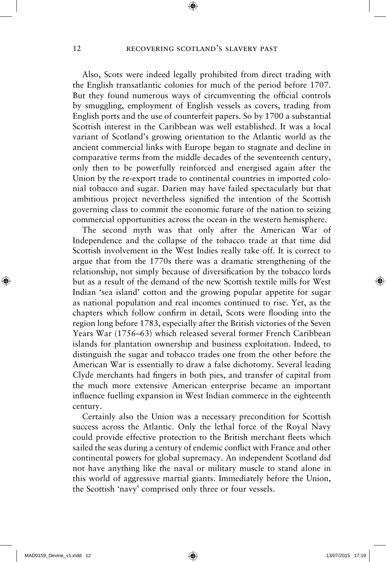Also, Scots were indeed legally prohibited from direct trading with the English transatlantic colonies for much of the period before 1707. But they found numerous ways of circumventing the official controls by smuggling, employment of English vessels as covers, trading from English ports and the use of counterfeit papers. So by 1700 a substantial Scottish interest in the Caribbean was well established. It was a local variant of Scotland's growing orientation to the Atlantic world as the ancient commercial links with Europe began to stagnate and decline in comparative terms from the middle decades of the seventeenth century, only then to be powerfully reinforced and energised again after the Union by the re-export trade to continental countries in imported colonial tobacco and sugar. Darien may have failed spectacularly but that ambitious project nevertheless signified the intention of the Scottish governing class to commit the economic future of the nation to seizing commercial opportunities across the ocean in the western hemisphere.

The second myth was that only after the American War of Independence and the collapse of the tobacco trade at that time did Scottish involvement in the West Indies really take off. It is correct to argue that from the 1770s there was a dramatic strengthening of the relationship, not simply because of diversification by the tobacco lords but as a result of the demand of the new Scottish textile mills for West Indian 'sea island' cotton and the growing popular appetite for sugar as national population and real incomes continued to rise. Yet, as the chapters which follow confirm in detail, Scots were flooding into the region long before 1783, especially after the British victories of the Seven Years War (1756–63) which released several former French Caribbean islands for plantation ownership and business exploitation. Indeed, to distinguish the sugar and tobacco trades one from the other before the American War is essentially to draw a false dichotomy. Several leading Clyde merchants had fingers in both pies, and transfer of capital from the much more extensive American enterprise became an important influence fuelling expansion in West Indian commerce in the eighteenth century.

Certainly also the Union was a necessary precondition for Scottish success across the Atlantic. Only the lethal force of the Royal Navy could provide effective protection to the British merchant fleets which sailed the seas during a century of endemic conflict with France and other continental powers for global supremacy. An independent Scotland did not have anything like the naval or military muscle to stand alone in this world of aggressive martial giants. Immediately before the Union, the Scottish 'navy' comprised only three or four vessels.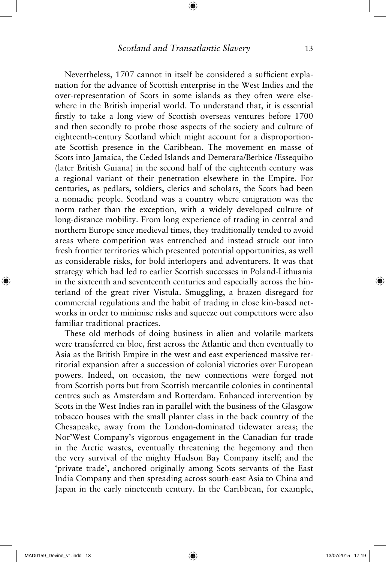Nevertheless, 1707 cannot in itself be considered a sufficient explanation for the advance of Scottish enterprise in the West Indies and the over-representation of Scots in some islands as they often were elsewhere in the British imperial world. To understand that, it is essential firstly to take a long view of Scottish overseas ventures before 1700 and then secondly to probe those aspects of the society and culture of eighteenth-century Scotland which might account for a disproportionate Scottish presence in the Caribbean. The movement en masse of Scots into Jamaica, the Ceded Islands and Demerara/Berbice /Essequibo (later British Guiana) in the second half of the eighteenth century was a regional variant of their penetration elsewhere in the Empire. For centuries, as pedlars, soldiers, clerics and scholars, the Scots had been a nomadic people. Scotland was a country where emigration was the norm rather than the exception, with a widely developed culture of long-distance mobility. From long experience of trading in central and northern Europe since medieval times, they traditionally tended to avoid areas where competition was entrenched and instead struck out into fresh frontier territories which presented potential opportunities, as well as considerable risks, for bold interlopers and adventurers. It was that strategy which had led to earlier Scottish successes in Poland-Lithuania in the sixteenth and seventeenth centuries and especially across the hinterland of the great river Vistula. Smuggling, a brazen disregard for commercial regulations and the habit of trading in close kin-based networks in order to minimise risks and squeeze out competitors were also familiar traditional practices.

These old methods of doing business in alien and volatile markets were transferred en bloc, first across the Atlantic and then eventually to Asia as the British Empire in the west and east experienced massive territorial expansion after a succession of colonial victories over European powers. Indeed, on occasion, the new connections were forged not from Scottish ports but from Scottish mercantile colonies in continental centres such as Amsterdam and Rotterdam. Enhanced intervention by Scots in the West Indies ran in parallel with the business of the Glasgow tobacco houses with the small planter class in the back country of the Chesapeake, away from the London-dominated tidewater areas; the Nor'West Company's vigorous engagement in the Canadian fur trade in the Arctic wastes, eventually threatening the hegemony and then the very survival of the mighty Hudson Bay Company itself; and the 'private trade', anchored originally among Scots servants of the East India Company and then spreading across south-east Asia to China and Japan in the early nineteenth century. In the Caribbean, for example,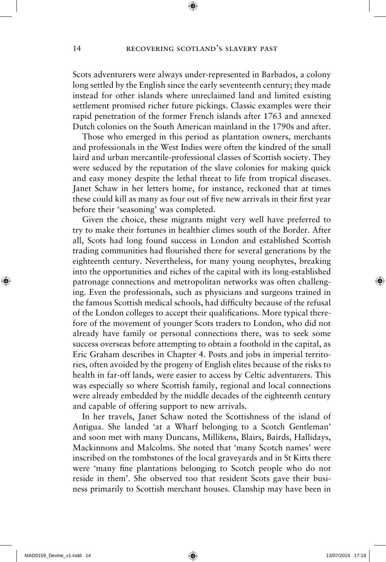Scots adventurers were always under-represented in Barbados, a colony long settled by the English since the early seventeenth century; they made instead for other islands where unreclaimed land and limited existing settlement promised richer future pickings. Classic examples were their rapid penetration of the former French islands after 1763 and annexed Dutch colonies on the South American mainland in the 1790s and after.

Those who emerged in this period as plantation owners, merchants and professionals in the West Indies were often the kindred of the small laird and urban mercantile-professional classes of Scottish society. They were seduced by the reputation of the slave colonies for making quick and easy money despite the lethal threat to life from tropical diseases. Janet Schaw in her letters home, for instance, reckoned that at times these could kill as many as four out of five new arrivals in their first year before their 'seasoning' was completed.

Given the choice, these migrants might very well have preferred to try to make their fortunes in healthier climes south of the Border. After all, Scots had long found success in London and established Scottish trading communities had flourished there for several generations by the eighteenth century. Nevertheless, for many young neophytes, breaking into the opportunities and riches of the capital with its long-established patronage connections and metropolitan networks was often challenging. Even the professionals, such as physicians and surgeons trained in the famous Scottish medical schools, had difficulty because of the refusal of the London colleges to accept their qualifications. More typical therefore of the movement of younger Scots traders to London, who did not already have family or personal connections there, was to seek some success overseas before attempting to obtain a foothold in the capital, as Eric Graham describes in Chapter 4. Posts and jobs in imperial territories, often avoided by the progeny of English elites because of the risks to health in far-off lands, were easier to access by Celtic adventurers. This was especially so where Scottish family, regional and local connections were already embedded by the middle decades of the eighteenth century and capable of offering support to new arrivals.

In her travels, Janet Schaw noted the Scottishness of the island of Antigua. She landed 'at a Wharf belonging to a Scotch Gentleman' and soon met with many Duncans, Millikens, Blairs, Bairds, Hallidays, Mackinnons and Malcolms. She noted that 'many Scotch names' were inscribed on the tombstones of the local graveyards and in St Kitts there were 'many fine plantations belonging to Scotch people who do not reside in them'. She observed too that resident Scots gave their business primarily to Scottish merchant houses. Clanship may have been in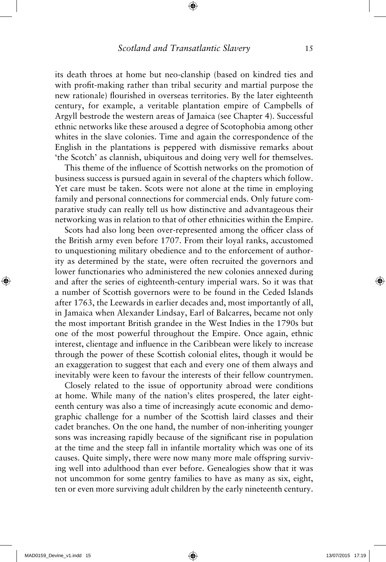its death throes at home but neo-clanship (based on kindred ties and with profit-making rather than tribal security and martial purpose the new rationale) flourished in overseas territories. By the later eighteenth century, for example, a veritable plantation empire of Campbells of Argyll bestrode the western areas of Jamaica (see Chapter 4). Successful ethnic networks like these aroused a degree of Scotophobia among other whites in the slave colonies. Time and again the correspondence of the English in the plantations is peppered with dismissive remarks about 'the Scotch' as clannish, ubiquitous and doing very well for themselves.

This theme of the influence of Scottish networks on the promotion of business success is pursued again in several of the chapters which follow. Yet care must be taken. Scots were not alone at the time in employing family and personal connections for commercial ends. Only future comparative study can really tell us how distinctive and advantageous their networking was in relation to that of other ethnicities within the Empire.

Scots had also long been over-represented among the officer class of the British army even before 1707. From their loyal ranks, accustomed to unquestioning military obedience and to the enforcement of authority as determined by the state, were often recruited the governors and lower functionaries who administered the new colonies annexed during and after the series of eighteenth-century imperial wars. So it was that a number of Scottish governors were to be found in the Ceded Islands after 1763, the Leewards in earlier decades and, most importantly of all, in Jamaica when Alexander Lindsay, Earl of Balcarres, became not only the most important British grandee in the West Indies in the 1790s but one of the most powerful throughout the Empire. Once again, ethnic interest, clientage and influence in the Caribbean were likely to increase through the power of these Scottish colonial elites, though it would be an exaggeration to suggest that each and every one of them always and inevitably were keen to favour the interests of their fellow countrymen.

Closely related to the issue of opportunity abroad were conditions at home. While many of the nation's elites prospered, the later eighteenth century was also a time of increasingly acute economic and demographic challenge for a number of the Scottish laird classes and their cadet branches. On the one hand, the number of non-inheriting younger sons was increasing rapidly because of the significant rise in population at the time and the steep fall in infantile mortality which was one of its causes. Quite simply, there were now many more male offspring surviving well into adulthood than ever before. Genealogies show that it was not uncommon for some gentry families to have as many as six, eight, ten or even more surviving adult children by the early nineteenth century.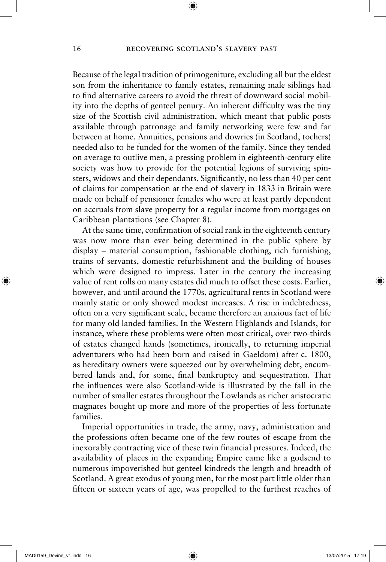Because of the legal tradition of primogeniture, excluding all but the eldest son from the inheritance to family estates, remaining male siblings had to find alternative careers to avoid the threat of downward social mobility into the depths of genteel penury. An inherent difficulty was the tiny size of the Scottish civil administration, which meant that public posts available through patronage and family networking were few and far between at home. Annuities, pensions and dowries (in Scotland, tochers) needed also to be funded for the women of the family. Since they tended on average to outlive men, a pressing problem in eighteenth-century elite society was how to provide for the potential legions of surviving spinsters, widows and their dependants. Significantly, no less than 40 per cent of claims for compensation at the end of slavery in 1833 in Britain were made on behalf of pensioner females who were at least partly dependent on accruals from slave property for a regular income from mortgages on Caribbean plantations (see Chapter 8).

At the same time, confirmation of social rank in the eighteenth century was now more than ever being determined in the public sphere by display – material consumption, fashionable clothing, rich furnishing, trains of servants, domestic refurbishment and the building of houses which were designed to impress. Later in the century the increasing value of rent rolls on many estates did much to offset these costs. Earlier, however, and until around the 1770s, agricultural rents in Scotland were mainly static or only showed modest increases. A rise in indebtedness, often on a very significant scale, became therefore an anxious fact of life for many old landed families. In the Western Highlands and Islands, for instance, where these problems were often most critical, over two-thirds of estates changed hands (sometimes, ironically, to returning imperial adventurers who had been born and raised in Gaeldom) after c. 1800, as hereditary owners were squeezed out by overwhelming debt, encumbered lands and, for some, final bankruptcy and sequestration. That the influences were also Scotland-wide is illustrated by the fall in the number of smaller estates throughout the Lowlands as richer aristocratic magnates bought up more and more of the properties of less fortunate families.

Imperial opportunities in trade, the army, navy, administration and the professions often became one of the few routes of escape from the inexorably contracting vice of these twin financial pressures. Indeed, the availability of places in the expanding Empire came like a godsend to numerous impoverished but genteel kindreds the length and breadth of Scotland. A great exodus of young men, for the most part little older than fifteen or sixteen years of age, was propelled to the furthest reaches of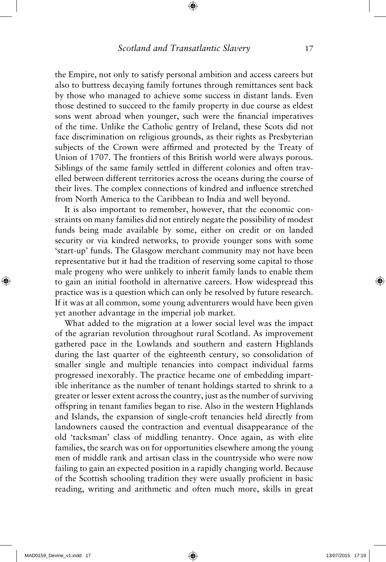the Empire, not only to satisfy personal ambition and access careers but also to buttress decaying family fortunes through remittances sent back by those who managed to achieve some success in distant lands. Even those destined to succeed to the family property in due course as eldest sons went abroad when younger, such were the financial imperatives of the time. Unlike the Catholic gentry of Ireland, these Scots did not face discrimination on religious grounds, as their rights as Presbyterian subjects of the Crown were affirmed and protected by the Treaty of Union of 1707. The frontiers of this British world were always porous. Siblings of the same family settled in different colonies and often travelled between different territories across the oceans during the course of their lives. The complex connections of kindred and influence stretched from North America to the Caribbean to India and well beyond.

It is also important to remember, however, that the economic constraints on many families did not entirely negate the possibility of modest funds being made available by some, either on credit or on landed security or via kindred networks, to provide younger sons with some 'start-up' funds. The Glasgow merchant community may not have been representative but it had the tradition of reserving some capital to those male progeny who were unlikely to inherit family lands to enable them to gain an initial foothold in alternative careers. How widespread this practice was is a question which can only be resolved by future research. If it was at all common, some young adventurers would have been given yet another advantage in the imperial job market.

What added to the migration at a lower social level was the impact of the agrarian revolution throughout rural Scotland. As improvement gathered pace in the Lowlands and southern and eastern Highlands during the last quarter of the eighteenth century, so consolidation of smaller single and multiple tenancies into compact individual farms progressed inexorably. The practice became one of embedding impartible inheritance as the number of tenant holdings started to shrink to a greater or lesser extent across the country, just as the number of surviving offspring in tenant families began to rise. Also in the western Highlands and Islands, the expansion of single-croft tenancies held directly from landowners caused the contraction and eventual disappearance of the old 'tacksman' class of middling tenantry. Once again, as with elite families, the search was on for opportunities elsewhere among the young men of middle rank and artisan class in the countryside who were now failing to gain an expected position in a rapidly changing world. Because of the Scottish schooling tradition they were usually proficient in basic reading, writing and arithmetic and often much more, skills in great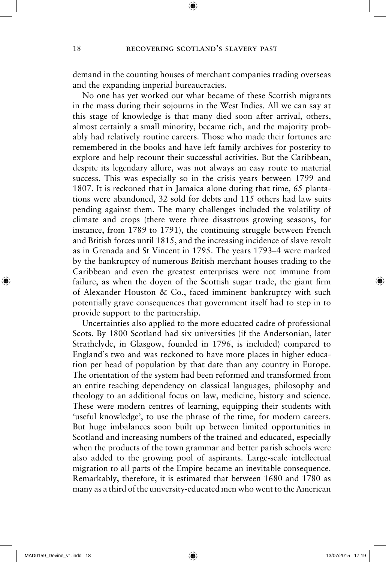demand in the counting houses of merchant companies trading overseas and the expanding imperial bureaucracies.

No one has yet worked out what became of these Scottish migrants in the mass during their sojourns in the West Indies. All we can say at this stage of knowledge is that many died soon after arrival, others, almost certainly a small minority, became rich, and the majority probably had relatively routine careers. Those who made their fortunes are remembered in the books and have left family archives for posterity to explore and help recount their successful activities. But the Caribbean, despite its legendary allure, was not always an easy route to material success. This was especially so in the crisis years between 1799 and 1807. It is reckoned that in Jamaica alone during that time, 65 plantations were abandoned, 32 sold for debts and 115 others had law suits pending against them. The many challenges included the volatility of climate and crops (there were three disastrous growing seasons, for instance, from 1789 to 1791), the continuing struggle between French and British forces until 1815, and the increasing incidence of slave revolt as in Grenada and St Vincent in 1795. The years 1793–4 were marked by the bankruptcy of numerous British merchant houses trading to the Caribbean and even the greatest enterprises were not immune from failure, as when the doyen of the Scottish sugar trade, the giant firm of Alexander Houston & Co., faced imminent bankruptcy with such potentially grave consequences that government itself had to step in to provide support to the partnership.

Uncertainties also applied to the more educated cadre of professional Scots. By 1800 Scotland had six universities (if the Andersonian, later Strathclyde, in Glasgow, founded in 1796, is included) compared to England's two and was reckoned to have more places in higher education per head of population by that date than any country in Europe. The orientation of the system had been reformed and transformed from an entire teaching dependency on classical languages, philosophy and theology to an additional focus on law, medicine, history and science. These were modern centres of learning, equipping their students with 'useful knowledge', to use the phrase of the time, for modern careers. But huge imbalances soon built up between limited opportunities in Scotland and increasing numbers of the trained and educated, especially when the products of the town grammar and better parish schools were also added to the growing pool of aspirants. Large-scale intellectual migration to all parts of the Empire became an inevitable consequence. Remarkably, therefore, it is estimated that between 1680 and 1780 as many as a third of the university-educated men who went to the American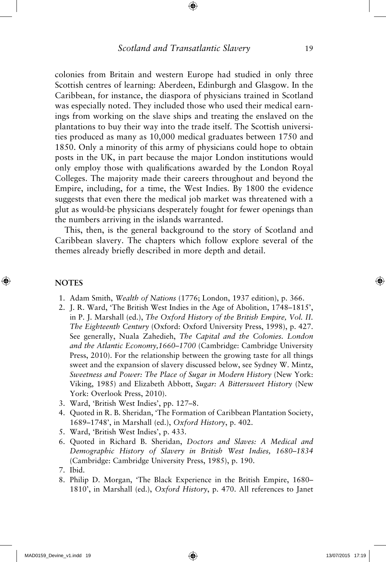colonies from Britain and western Europe had studied in only three Scottish centres of learning: Aberdeen, Edinburgh and Glasgow. In the Caribbean, for instance, the diaspora of physicians trained in Scotland was especially noted. They included those who used their medical earnings from working on the slave ships and treating the enslaved on the plantations to buy their way into the trade itself. The Scottish universities produced as many as 10,000 medical graduates between 1750 and 1850. Only a minority of this army of physicians could hope to obtain posts in the UK, in part because the major London institutions would only employ those with qualifications awarded by the London Royal Colleges. The majority made their careers throughout and beyond the Empire, including, for a time, the West Indies. By 1800 the evidence suggests that even there the medical job market was threatened with a glut as would-be physicians desperately fought for fewer openings than the numbers arriving in the islands warranted.

This, then, is the general background to the story of Scotland and Caribbean slavery. The chapters which follow explore several of the themes already briefly described in more depth and detail.

#### **NOTES**

- 1. Adam Smith, *Wealth of Nations* (1776; London, 1937 edition), p. 366.
- 2. J. R. Ward, 'The British West Indies in the Age of Abolition, 1748–1815', in P. J. Marshall (ed.), *The Oxford History of the British Empire, Vol. II. The Eighteenth Century* (Oxford: Oxford University Press, 1998), p. 427. See generally, Nuala Zahedieh, *The Capital and the Colonies. London and the Atlantic Economy,1660–1700* (Cambridge: Cambridge University Press, 2010). For the relationship between the growing taste for all things sweet and the expansion of slavery discussed below, see Sydney W. Mintz, *Sweetness and Power: The Place of Sugar in Modern History* (New York: Viking, 1985) and Elizabeth Abbott, *Sugar: A Bittersweet History* (New York: Overlook Press, 2010).
- 3. Ward, 'British West Indies', pp. 127–8.
- 4. Quoted in R. B. Sheridan, 'The Formation of Caribbean Plantation Society, 1689–1748', in Marshall (ed.), *Oxford History*, p. 402.
- 5. Ward, 'British West Indies', p. 433.
- 6. Quoted in Richard B. Sheridan, *Doctors and Slaves: A Medical and Demographic History of Slavery in British West Indies, 1680–1834*  (Cambridge: Cambridge University Press, 1985), p. 190.
- 7. Ibid.
- 8. Philip D. Morgan, 'The Black Experience in the British Empire, 1680– 1810', in Marshall (ed.), *Oxford History*, p. 470. All references to Janet